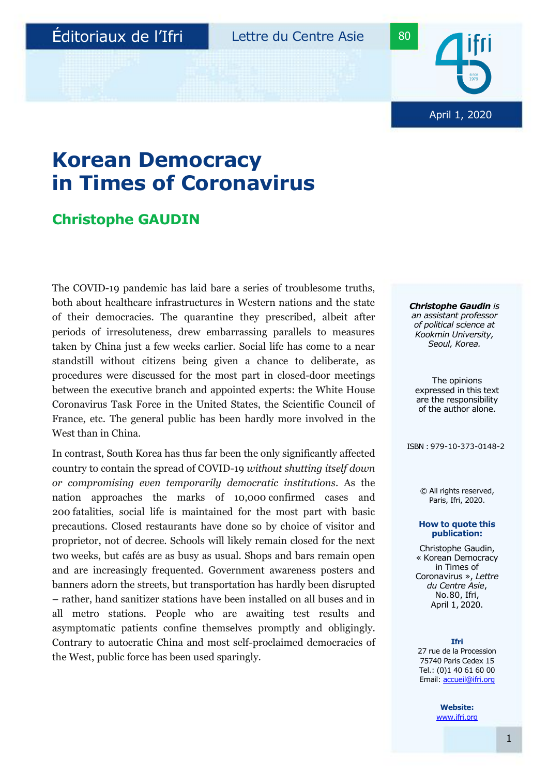

## **Korean Democracy in Times of Coronavirus**

### **Christophe GAUDIN**

The COVID-19 pandemic has laid bare a series of troublesome truths, both about healthcare infrastructures in Western nations and the state of their democracies. The quarantine they prescribed, albeit after periods of irresoluteness, drew embarrassing parallels to measures taken by China just a few weeks earlier. Social life has come to a near standstill without citizens being given a chance to deliberate, as procedures were discussed for the most part in closed-door meetings between the executive branch and appointed experts: the White House Coronavirus Task Force in the United States, the Scientific Council of France, etc. The general public has been hardly more involved in the West than in China.

In contrast, South Korea has thus far been the only significantly affected country to contain the spread of COVID-19 *without shutting itself down or compromising even temporarily democratic institutions*. As the nation approaches the marks of 10,000 confirmed cases and 200 fatalities, social life is maintained for the most part with basic precautions. Closed restaurants have done so by choice of visitor and proprietor, not of decree. Schools will likely remain closed for the next two weeks, but cafés are as busy as usual. Shops and bars remain open and are increasingly frequented. Government awareness posters and banners adorn the streets, but transportation has hardly been disrupted – rather, hand sanitizer stations have been installed on all buses and in all metro stations. People who are awaiting test results and asymptomatic patients confine themselves promptly and obligingly. Contrary to autocratic China and most self-proclaimed democracies of the West, public force has been used sparingly.

*Christophe Gaudin is an assistant professor of political science at Kookmin University, Seoul, Korea.*

The opinions expressed in this text are the responsibility of the author alone.

ISBN : 979-10-373-0148-2

© All rights reserved, Paris, Ifri, 2020.

#### **How to quote this publication:**

Christophe Gaudin, « Korean Democracy in Times of Coronavirus », *Lettre du Centre Asie*, No.80, Ifri, April 1,2020.

**Ifri**

27 rue de la Procession 75740 Paris Cedex 15 Tel.: (0)1 40 61 60 00 Email: [accueil@ifri.org](mailto:accueil@ifri.org)

> **Website:** [www.ifri.org](http://www.ifri.org/)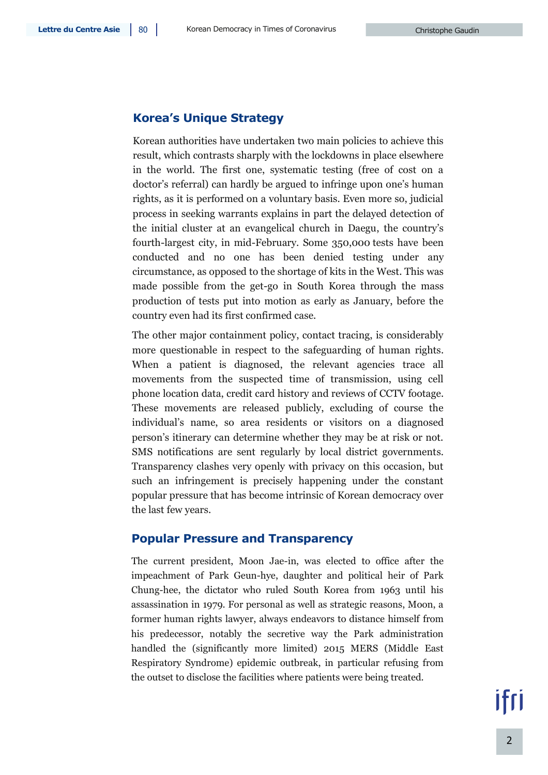#### **Korea's Unique Strategy**

Korean authorities have undertaken two main policies to achieve this result, which contrasts sharply with the lockdowns in place elsewhere in the world. The first one, systematic testing (free of cost on a doctor's referral) can hardly be argued to infringe upon one's human rights, as it is performed on a voluntary basis. Even more so, judicial process in seeking warrants explains in part the delayed detection of the initial cluster at an evangelical church in Daegu, the country's fourth-largest city, in mid-February. Some 350,000 tests have been conducted and no one has been denied testing under any circumstance, as opposed to the shortage of kits in the West. This was made possible from the get-go in South Korea through the mass production of tests put into motion as early as January, before the country even had its first confirmed case.

The other major containment policy, contact tracing, is considerably more questionable in respect to the safeguarding of human rights. When a patient is diagnosed, the relevant agencies trace all movements from the suspected time of transmission, using cell phone location data, credit card history and reviews of CCTV footage. These movements are released publicly, excluding of course the individual's name, so area residents or visitors on a diagnosed person's itinerary can determine whether they may be at risk or not. SMS notifications are sent regularly by local district governments. Transparency clashes very openly with privacy on this occasion, but such an infringement is precisely happening under the constant popular pressure that has become intrinsic of Korean democracy over the last few years.

#### **Popular Pressure and Transparency**

The current president, Moon Jae-in, was elected to office after the impeachment of Park Geun-hye, daughter and political heir of Park Chung-hee, the dictator who ruled South Korea from 1963 until his assassination in 1979. For personal as well as strategic reasons, Moon, a former human rights lawyer, always endeavors to distance himself from his predecessor, notably the secretive way the Park administration handled the (significantly more limited) 2015 MERS (Middle East Respiratory Syndrome) epidemic outbreak, in particular refusing from the outset to disclose the facilities where patients were being treated.

ifri